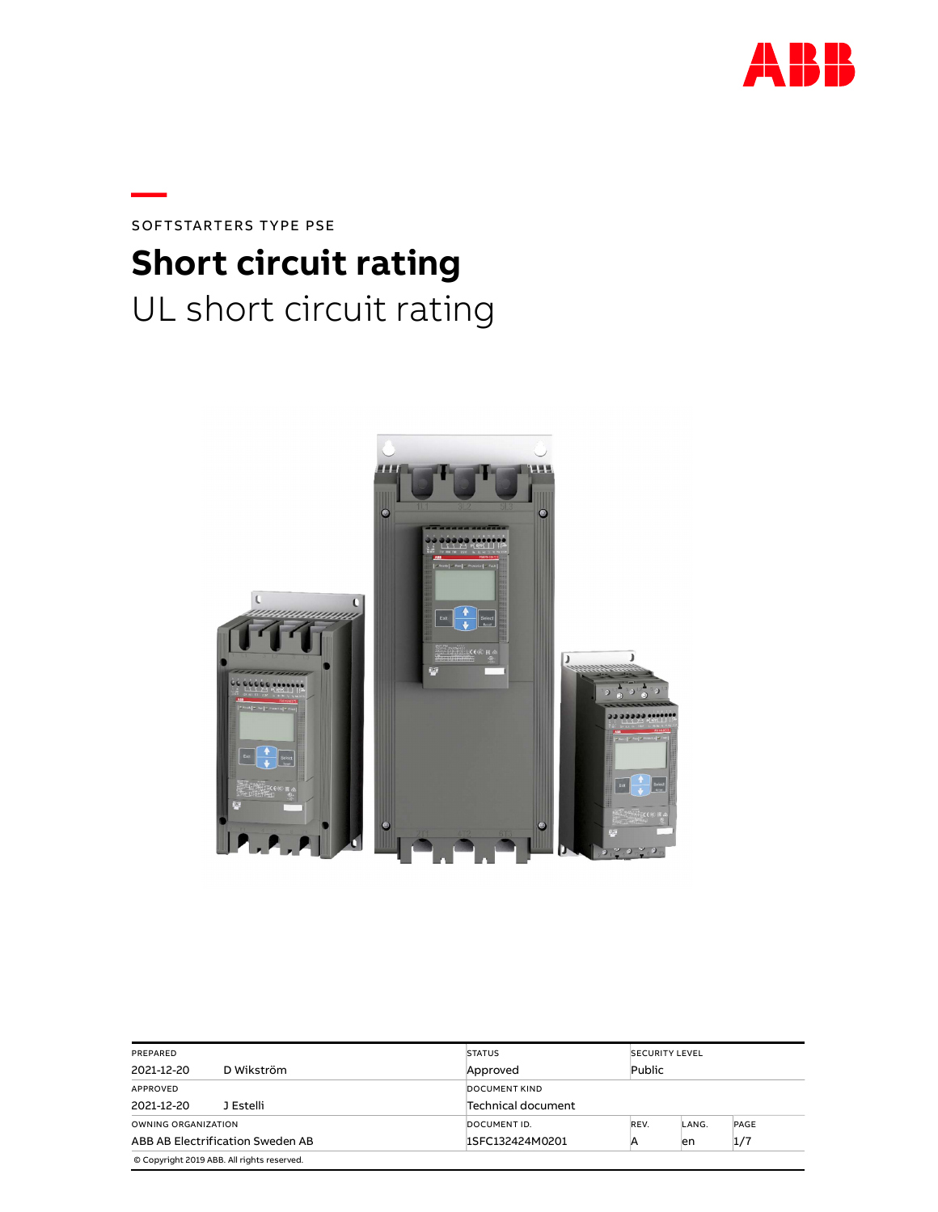

SOFTSTARTERS TYPE PSE Short circuit rating UL short circuit rating

—



| PREPARED                                   |                                                                   | <b>STATUS</b>        |      | <b>SECURITY LEVEL</b> |      |  |  |
|--------------------------------------------|-------------------------------------------------------------------|----------------------|------|-----------------------|------|--|--|
| D Wikström<br>2021-12-20                   |                                                                   | Approved             |      | Public                |      |  |  |
| APPROVED                                   |                                                                   | <b>DOCUMENT KIND</b> |      |                       |      |  |  |
| J Estelli<br>2021-12-20                    |                                                                   | Technical document   |      |                       |      |  |  |
| OWNING ORGANIZATION                        |                                                                   | DOCUMENT ID.         | REV. | LANG.                 | PAGE |  |  |
|                                            | ABB AB Electrification Sweden AB<br>1/7<br>1SFC132424M0201<br>len |                      |      |                       |      |  |  |
| © Copyright 2019 ABB. All rights reserved. |                                                                   |                      |      |                       |      |  |  |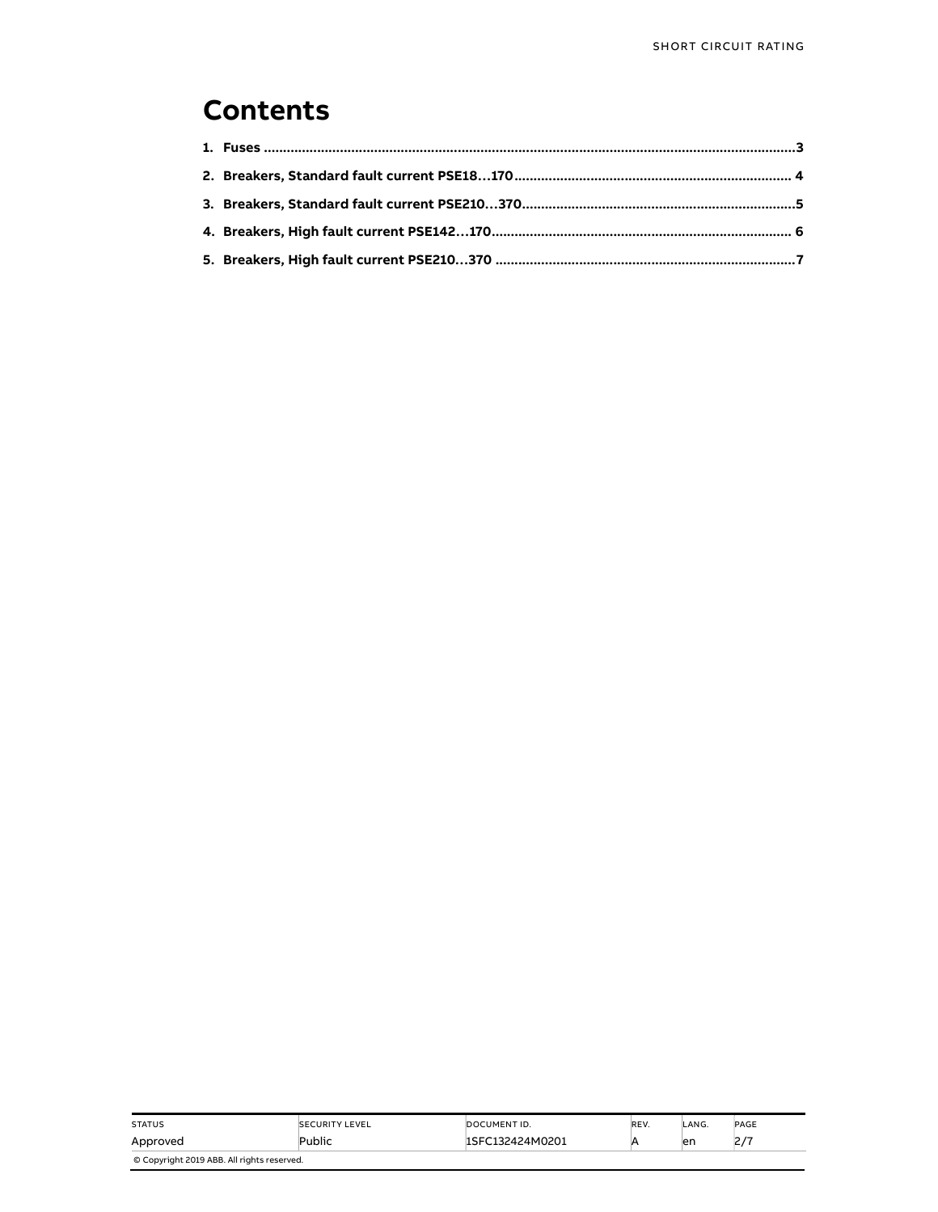#### Contents

| <b>STATUS</b>                              | <b>SECURITY LEVEL</b> | DOCUMENT ID.    | REV. | LANG. | PAGE               |  |  |  |
|--------------------------------------------|-----------------------|-----------------|------|-------|--------------------|--|--|--|
| Approved                                   | Public                | 1SFC132424M0201 |      | en    | דו ר<br>$\epsilon$ |  |  |  |
| © Copyright 2019 ABB. All rights reserved. |                       |                 |      |       |                    |  |  |  |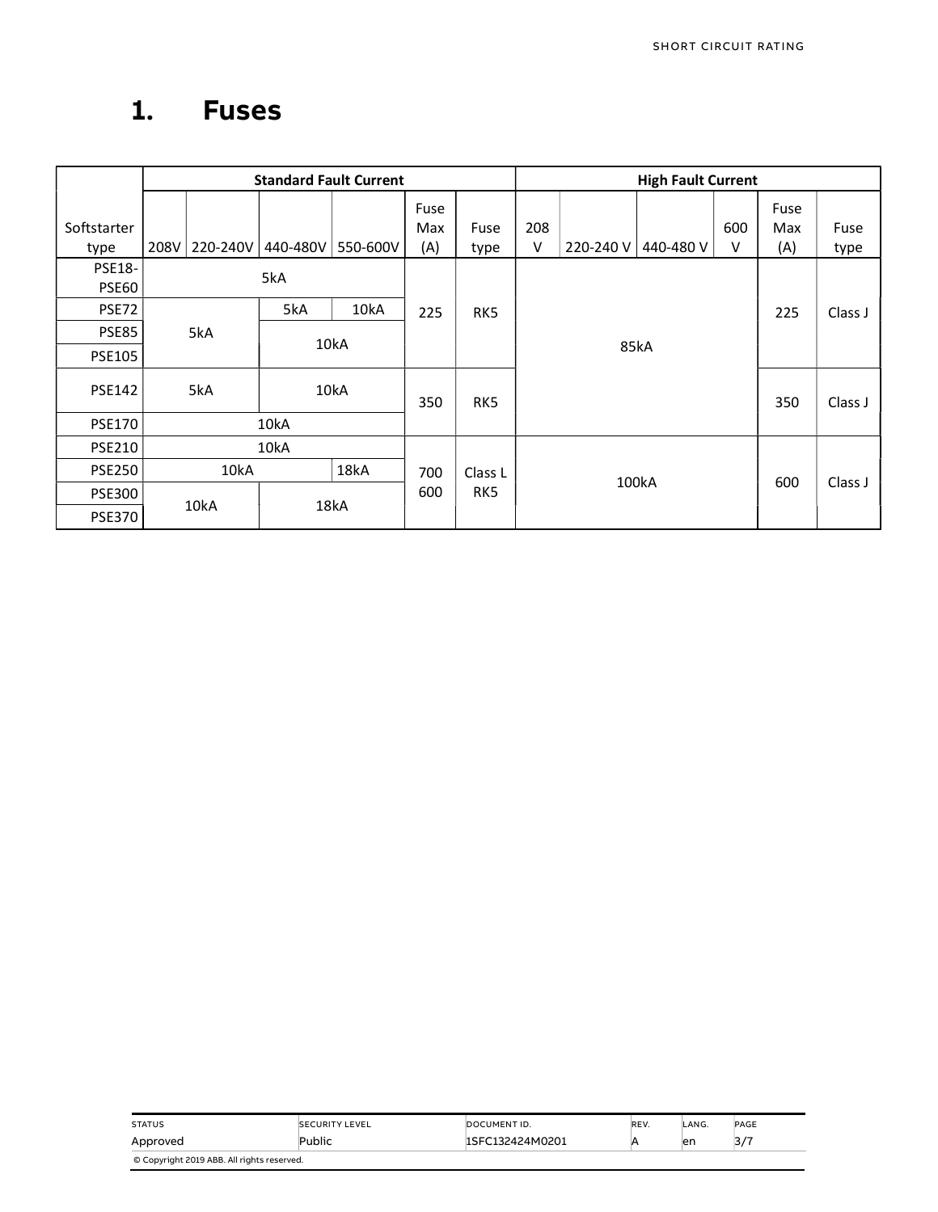### 1. Fuses

|                               |      | <b>Standard Fault Current</b> |          |          |                    |              |          | <b>High Fault Current</b> |           |          |                    |              |
|-------------------------------|------|-------------------------------|----------|----------|--------------------|--------------|----------|---------------------------|-----------|----------|--------------------|--------------|
| Softstarter<br>type           | 208V | 220-240V                      | 440-480V | 550-600V | Fuse<br>Max<br>(A) | Fuse<br>type | 208<br>V | 220-240 V                 | 440-480 V | 600<br>v | Fuse<br>Max<br>(A) | Fuse<br>type |
| <b>PSE18-</b><br><b>PSE60</b> | 5kA  |                               |          |          |                    |              |          |                           |           |          |                    |              |
| PSE72                         |      |                               | 5kA      | 10kA     | 225                | RK5          |          |                           |           |          | 225                | Class J      |
| <b>PSE85</b>                  |      | 5kA                           |          |          |                    |              |          |                           |           |          |                    |              |
| <b>PSE105</b>                 |      |                               |          | 10kA     |                    |              | 85kA     |                           |           |          |                    |              |
| <b>PSE142</b>                 |      | 5kA                           | 10kA     |          | 350                | RK5          |          |                           |           |          | 350                | Class J      |
| <b>PSE170</b>                 |      |                               | 10kA     |          |                    |              |          |                           |           |          |                    |              |
| <b>PSE210</b>                 |      |                               | 10kA     |          |                    |              |          |                           |           |          |                    |              |
| <b>PSE250</b>                 |      | 10kA                          | 18kA     |          | 700                | Class L      |          |                           |           |          |                    |              |
| <b>PSE300</b>                 |      |                               | 18kA     |          | 600                | RK5          | 100kA    |                           | 600       | Class J  |                    |              |
| <b>PSE370</b>                 |      | 10kA                          |          |          |                    |              |          |                           |           |          |                    |              |

| <b>STATUS</b>                              | <b>SECURITY LEVEL</b> | DOCUMENT ID.    | REV. | LANG. | PAGE |  |  |  |
|--------------------------------------------|-----------------------|-----------------|------|-------|------|--|--|--|
| Approved                                   | Public                | 1SFC132424M0201 |      | en    | 3/7  |  |  |  |
| © Copyright 2019 ABB. All rights reserved. |                       |                 |      |       |      |  |  |  |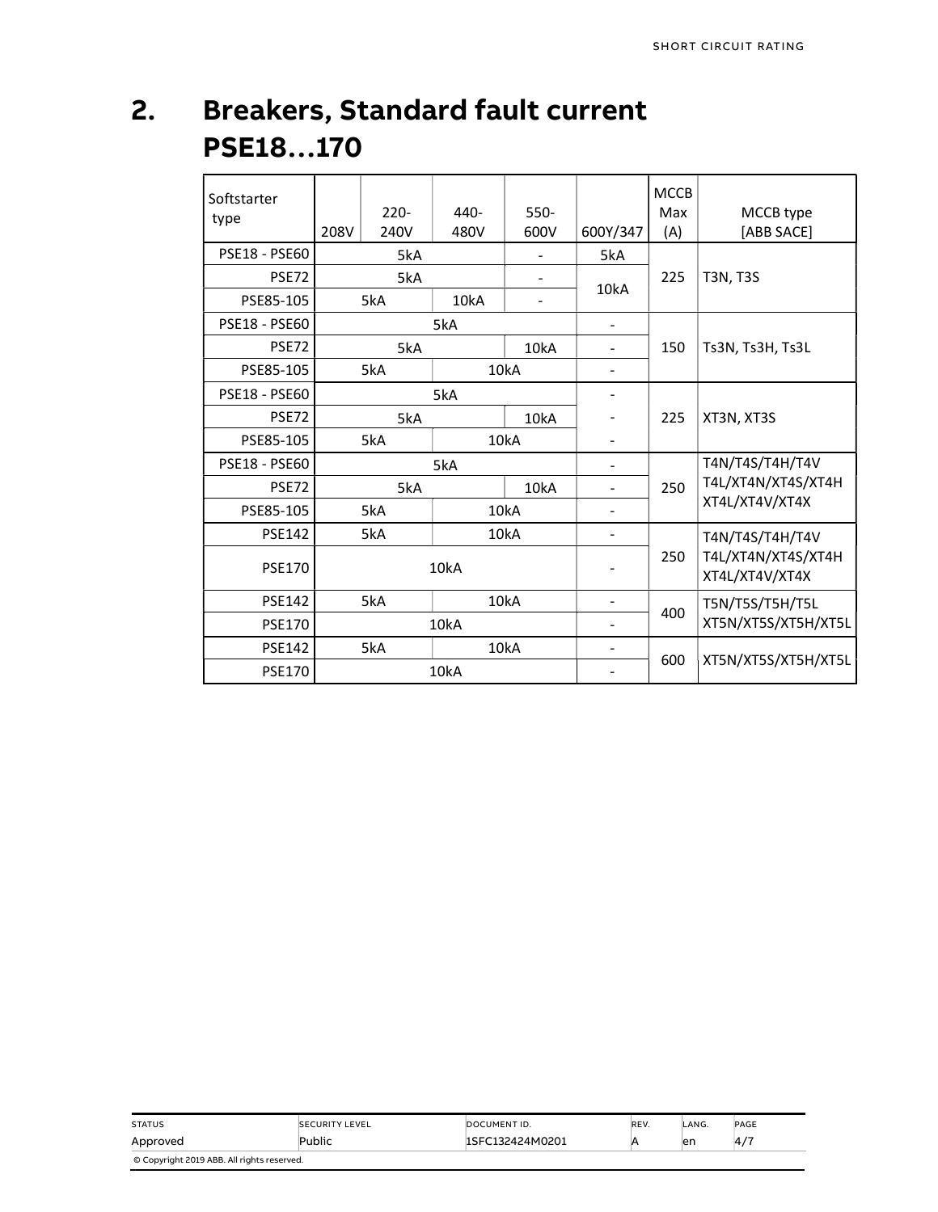### 2. Breakers, Standard fault current PSE18…170

| Softstarter<br>type  | 208V | $220 -$<br>240V | 440-<br>480V | $550-$<br>600V           | 600Y/347                 | <b>MCCB</b><br>Max<br>(A) | MCCB type<br>[ABB SACE]              |  |
|----------------------|------|-----------------|--------------|--------------------------|--------------------------|---------------------------|--------------------------------------|--|
| <b>PSE18 - PSE60</b> |      | 5kA             |              |                          | 5kA                      |                           |                                      |  |
| <b>PSE72</b>         |      | 5kA             |              |                          |                          | 225                       | <b>T3N, T3S</b>                      |  |
| PSE85-105            |      | 5kA             | 10kA         | $\overline{\phantom{a}}$ | 10kA                     |                           |                                      |  |
| <b>PSE18 - PSE60</b> |      | 5kA             |              |                          |                          |                           |                                      |  |
| <b>PSE72</b>         |      | 5kA             |              | 10kA                     | $\blacksquare$           | 150                       | Ts3N, Ts3H, Ts3L                     |  |
| PSE85-105            |      | 5kA             |              | 10kA                     |                          |                           |                                      |  |
| <b>PSE18 - PSE60</b> |      |                 | 5kA          | ۰                        |                          |                           |                                      |  |
| <b>PSE72</b>         |      | 5kA             |              | 10kA                     |                          | 225                       | XT3N, XT3S                           |  |
| PSE85-105            |      | 5kA             |              | 10kA                     |                          |                           |                                      |  |
| <b>PSE18 - PSE60</b> |      |                 | 5kA          |                          | $\blacksquare$           |                           | T4N/T4S/T4H/T4V                      |  |
| PSE72                |      | 5kA             |              | 10kA                     |                          | 250                       | T4L/XT4N/XT4S/XT4H                   |  |
| PSE85-105            |      | 5kA             |              | 10kA                     |                          |                           | XT4L/XT4V/XT4X                       |  |
| <b>PSE142</b>        |      | 5kA             |              | 10kA                     | $\blacksquare$           |                           | T4N/T4S/T4H/T4V                      |  |
| <b>PSE170</b>        |      |                 | 10kA         |                          |                          | 250                       | T4L/XT4N/XT4S/XT4H<br>XT4L/XT4V/XT4X |  |
| <b>PSE142</b>        |      | 5kA             |              | 10kA                     | $\blacksquare$           | 400                       | T5N/T5S/T5H/T5L                      |  |
| <b>PSE170</b>        |      |                 | 10kA         |                          | $\overline{\phantom{a}}$ |                           | XT5N/XT5S/XT5H/XT5L                  |  |
| <b>PSE142</b>        |      | 5kA             |              | 10kA                     |                          | 600                       |                                      |  |
| <b>PSE170</b>        |      |                 | 10kA         |                          |                          |                           | XT5N/XT5S/XT5H/XT5L                  |  |

| <b>STATUS</b>                              | <b>SECURITY LEVEL</b> | DOCUMENT ID.    | REV. | .ANG. | PAGE           |  |  |  |  |
|--------------------------------------------|-----------------------|-----------------|------|-------|----------------|--|--|--|--|
| Approved                                   | Public                | 1SFC132424M0201 |      | en    | 4 <sub>1</sub> |  |  |  |  |
| © Copyright 2019 ABB. All rights reserved. |                       |                 |      |       |                |  |  |  |  |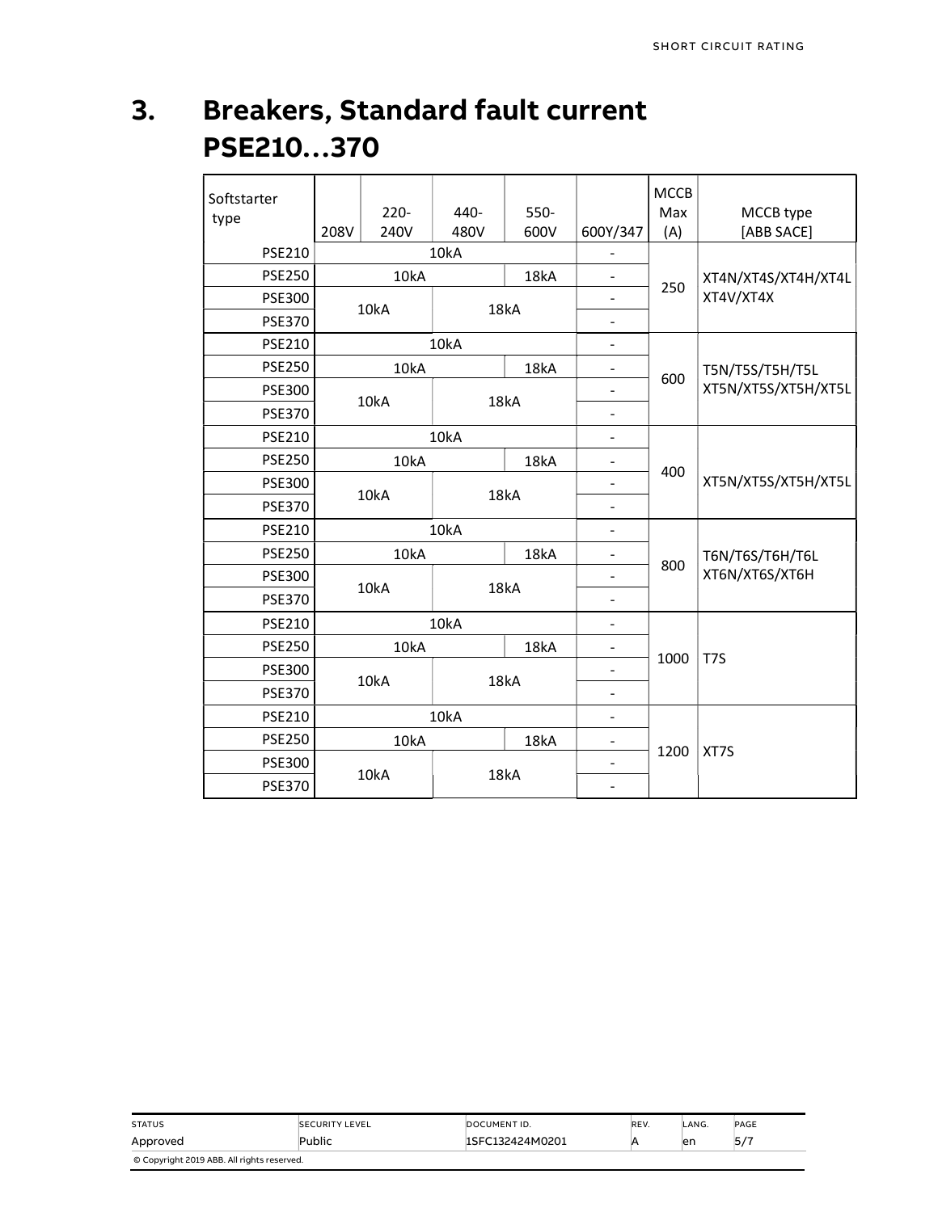## 3. Breakers, Standard fault current PSE210…370

| Softstarter<br>type | 208V | $220 -$<br>240V | 440-<br>480V | 550-<br>600V | 600Y/347                     | <b>MCCB</b><br>Max<br>(A) | MCCB type<br>[ABB SACE]          |  |
|---------------------|------|-----------------|--------------|--------------|------------------------------|---------------------------|----------------------------------|--|
| <b>PSE210</b>       |      |                 | 10kA         |              |                              |                           |                                  |  |
| <b>PSE250</b>       |      | 10kA            |              | 18kA         | $\overline{\phantom{0}}$     |                           | XT4N/XT4S/XT4H/XT4L<br>XT4V/XT4X |  |
| <b>PSE300</b>       |      | 10kA            |              | 18kA         | $\overline{\phantom{0}}$     | 250                       |                                  |  |
| <b>PSE370</b>       |      |                 |              |              | $\qquad \qquad \blacksquare$ |                           |                                  |  |
| <b>PSE210</b>       |      | 10kA            |              |              | $\blacksquare$               |                           |                                  |  |
| <b>PSE250</b>       |      | 10kA            |              | 18kA         | 4                            | 600                       | T5N/T5S/T5H/T5L                  |  |
| <b>PSE300</b>       |      | 10kA            |              | ÷<br>18kA    |                              |                           | XT5N/XT5S/XT5H/XT5L              |  |
| <b>PSE370</b>       |      |                 |              |              | ÷,                           |                           |                                  |  |
| <b>PSE210</b>       |      |                 | 10kA         |              | $\blacksquare$               |                           |                                  |  |
| <b>PSE250</b>       |      | 10kA            | 18kA         |              | $\qquad \qquad \blacksquare$ | 400                       |                                  |  |
| <b>PSE300</b>       |      | 10kA            | 18kA         |              |                              |                           | XT5N/XT5S/XT5H/XT5L              |  |
| <b>PSE370</b>       |      |                 |              |              | ÷,                           |                           |                                  |  |
| <b>PSE210</b>       |      |                 | 10kA         |              | $\blacksquare$               |                           |                                  |  |
| <b>PSE250</b>       |      | 10kA            |              | 18kA         | ۰                            | 800                       | T6N/T6S/T6H/T6L                  |  |
| <b>PSE300</b>       |      | 10kA            |              | 18kA         | $\overline{\phantom{0}}$     |                           | XT6N/XT6S/XT6H                   |  |
| <b>PSE370</b>       |      |                 |              |              | ÷                            |                           |                                  |  |
| PSE210              |      |                 | 10kA         |              |                              |                           |                                  |  |
| <b>PSE250</b>       |      | 10kA            |              | 18kA         | -                            | 1000                      | T7S                              |  |
| <b>PSE300</b>       |      | 10kA            |              | 18kA         | -                            |                           |                                  |  |
| <b>PSE370</b>       |      |                 |              |              | $\overline{\phantom{a}}$     |                           |                                  |  |
| <b>PSE210</b>       |      |                 | 10kA         | ÷,           |                              |                           |                                  |  |
| <b>PSE250</b>       |      | 10kA            |              | 18kA         | $\qquad \qquad \blacksquare$ |                           |                                  |  |
| <b>PSE300</b>       |      | 10kA            |              | 18kA         | ÷,                           | 1200                      | XT7S                             |  |
| <b>PSE370</b>       |      |                 |              |              | $\qquad \qquad \blacksquare$ |                           |                                  |  |

| <b>STATUS</b>                              | <b>SECURITY LEVEL</b> | DOCUMENT ID.    | REV. | LANG. | PAGE |  |  |  |
|--------------------------------------------|-----------------------|-----------------|------|-------|------|--|--|--|
| Approved                                   | Public                | ISFC132424M0201 |      | en    | 5/7  |  |  |  |
| © Copyright 2019 ABB. All rights reserved. |                       |                 |      |       |      |  |  |  |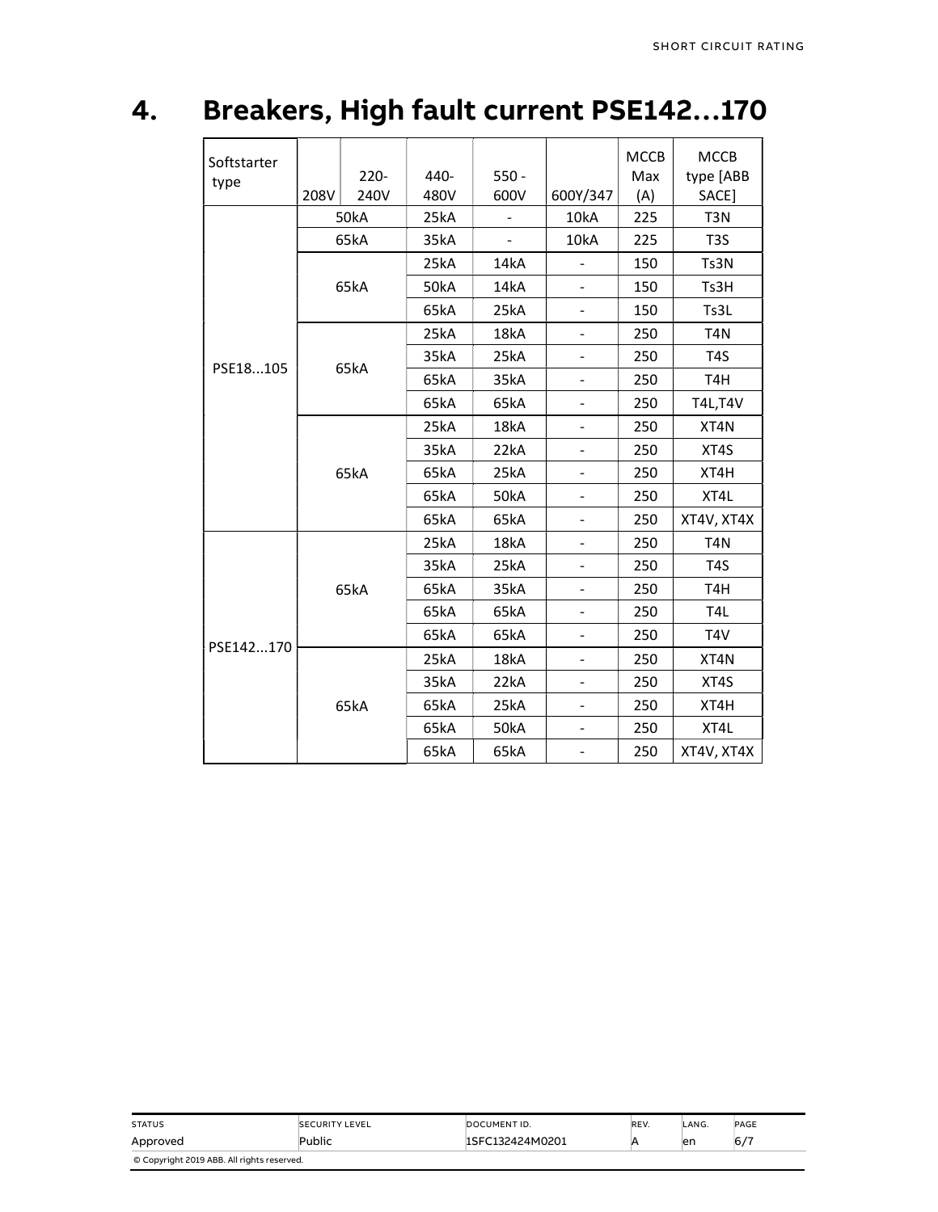# 4. Breakers, High fault current PSE142…170

| Softstarter<br>type | 208V | $220 -$<br>240V | 440-<br>480V | $550 -$<br>600V | 600Y/347                 | <b>MCCB</b><br>Max<br>(A) | <b>MCCB</b><br>type [ABB<br>SACE] |
|---------------------|------|-----------------|--------------|-----------------|--------------------------|---------------------------|-----------------------------------|
|                     |      | <b>50kA</b>     | 25kA         | $\blacksquare$  | 10kA                     | 225                       | T <sub>3</sub> N                  |
|                     |      | 65kA            | 35kA         | $\blacksquare$  | 10kA                     | 225                       | T <sub>3</sub> S                  |
|                     |      |                 | 25kA         | 14kA            | -                        | 150                       | Ts3N                              |
|                     |      | 65kA            | <b>50kA</b>  | 14kA            |                          | 150                       | Ts3H                              |
|                     |      |                 | 65kA         | 25kA            | L.                       | 150                       | Ts3L                              |
|                     |      |                 | 25kA         | 18kA            | -                        | 250                       | T <sub>4</sub> N                  |
|                     |      |                 | 35kA         | 25kA            |                          | 250                       | T <sub>4</sub> S                  |
| PSE18105            |      | 65kA            | 65kA         | 35kA            |                          | 250                       | T <sub>4</sub> H                  |
|                     |      |                 | 65kA         | 65kA            |                          | 250                       | <b>T4L, T4V</b>                   |
|                     |      |                 | 25kA         | 18kA            | $\overline{\phantom{0}}$ | 250                       | XT4N                              |
|                     |      |                 | 35kA         | 22kA            |                          | 250                       | XT4S                              |
|                     |      | 65kA            | 65kA         | 25kA            |                          | 250                       | XT4H                              |
|                     |      |                 | 65kA         | <b>50kA</b>     |                          | 250                       | XT4L                              |
|                     |      |                 | 65kA         | 65kA            | $\overline{a}$           | 250                       | XT4V, XT4X                        |
|                     |      |                 | 25kA         | 18kA            | ÷,                       | 250                       | T <sub>4</sub> N                  |
|                     |      |                 | 35kA         | 25kA            |                          | 250                       | T <sub>4</sub> S                  |
|                     |      | 65kA            | 65kA         | 35kA            |                          | 250                       | T <sub>4</sub> H                  |
|                     |      |                 | 65kA         | 65kA            | $\overline{\phantom{0}}$ | 250                       | T <sub>4L</sub>                   |
|                     |      |                 | 65kA         | 65kA            |                          | 250                       | T <sub>4</sub> V                  |
| PSE142170           |      |                 | 25kA         | 18kA            |                          | 250                       | XT4N                              |
|                     |      |                 | 35kA         | 22kA            |                          | 250                       | XT4S                              |
|                     | 65kA |                 | 65kA         | 25kA            | -                        | 250                       | XT4H                              |
|                     |      |                 | 65kA         | <b>50kA</b>     |                          | 250                       | XT4L                              |
|                     |      |                 | 65kA         | 65kA            |                          | 250                       | XT4V, XT4X                        |

| <b>STATUS</b>                              | <b>SECURITY LEVEL</b> | DOCUMENT ID.    | REV. | LANG. | PAGE |  |  |  |
|--------------------------------------------|-----------------------|-----------------|------|-------|------|--|--|--|
| Approved                                   | Public                | ISFC132424M0201 |      | en    | 6/7  |  |  |  |
| © Copyright 2019 ABB. All rights reserved. |                       |                 |      |       |      |  |  |  |